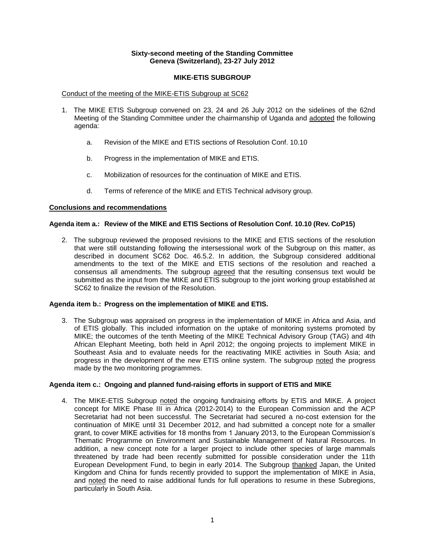## **Sixty-second meeting of the Standing Committee Geneva (Switzerland), 23-27 July 2012**

### **MIKE-ETIS SUBGROUP**

#### Conduct of the meeting of the MIKE-ETIS Subgroup at SC62

- 1. The MIKE ETIS Subgroup convened on 23, 24 and 26 July 2012 on the sidelines of the 62nd Meeting of the Standing Committee under the chairmanship of Uganda and adopted the following agenda:
	- a. Revision of the MIKE and ETIS sections of Resolution Conf. 10.10
	- b. Progress in the implementation of MIKE and ETIS.
	- c. Mobilization of resources for the continuation of MIKE and ETIS.
	- d. Terms of reference of the MIKE and ETIS Technical advisory group.

### **Conclusions and recommendations**

### **Agenda item a.: Review of the MIKE and ETIS Sections of Resolution Conf. 10.10 (Rev. CoP15)**

2. The subgroup reviewed the proposed revisions to the MIKE and ETIS sections of the resolution that were still outstanding following the intersessional work of the Subgroup on this matter, as described in document SC62 Doc. 46.5.2. In addition, the Subgroup considered additional amendments to the text of the MIKE and ETIS sections of the resolution and reached a consensus all amendments. The subgroup agreed that the resulting consensus text would be submitted as the input from the MIKE and ETIS subgroup to the joint working group established at SC62 to finalize the revision of the Resolution.

### **Agenda item b.: Progress on the implementation of MIKE and ETIS.**

3. The Subgroup was appraised on progress in the implementation of MIKE in Africa and Asia, and of ETIS globally. This included information on the uptake of monitoring systems promoted by MIKE; the outcomes of the tenth Meeting of the MIKE Technical Advisory Group (TAG) and 4th African Elephant Meeting, both held in April 2012; the ongoing projects to implement MIKE in Southeast Asia and to evaluate needs for the reactivating MIKE activities in South Asia; and progress in the development of the new ETIS online system. The subgroup noted the progress made by the two monitoring programmes.

### **Agenda item c.: Ongoing and planned fund-raising efforts in support of ETIS and MIKE**

4. The MIKE-ETIS Subgroup noted the ongoing fundraising efforts by ETIS and MIKE. A project concept for MIKE Phase III in Africa (2012-2014) to the European Commission and the ACP Secretariat had not been successful. The Secretariat had secured a no-cost extension for the continuation of MIKE until 31 December 2012, and had submitted a concept note for a smaller grant, to cover MIKE activities for 18 months from 1 January 2013, to the European Commission's Thematic Programme on Environment and Sustainable Management of Natural Resources. In addition, a new concept note for a larger project to include other species of large mammals threatened by trade had been recently submitted for possible consideration under the 11th European Development Fund, to begin in early 2014. The Subgroup thanked Japan, the United Kingdom and China for funds recently provided to support the implementation of MIKE in Asia, and noted the need to raise additional funds for full operations to resume in these Subregions, particularly in South Asia.